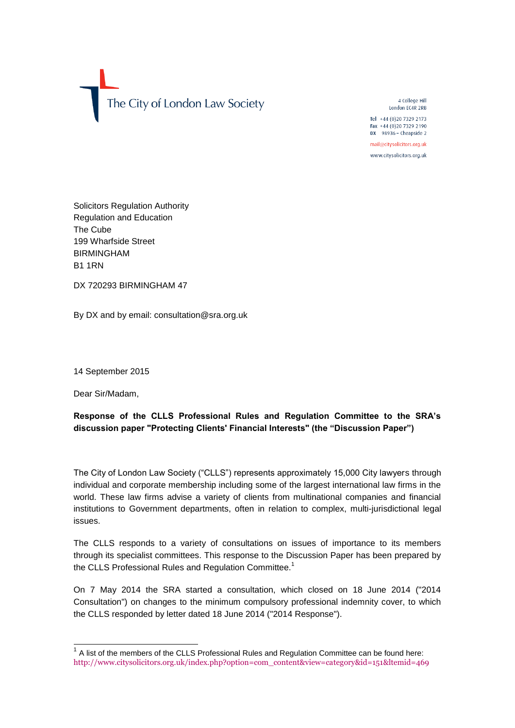

4 College Hill London EC4R 2RB

Tel +44 (0)20 7329 2173 Fax +44 (0)20 7329 2190 DX 98936 - Cheapside 2

mail@citysolicitors.org.uk www.citysolicitors.org.uk

Solicitors Regulation Authority Regulation and Education The Cube 199 Wharfside Street BIRMINGHAM B1 1RN

DX 720293 BIRMINGHAM 47

By DX and by email: consultation@sra.org.uk

14 September 2015

Dear Sir/Madam,

# **Response of the CLLS Professional Rules and Regulation Committee to the SRA's discussion paper "Protecting Clients' Financial Interests" (the "Discussion Paper")**

The City of London Law Society ("CLLS") represents approximately 15,000 City lawyers through individual and corporate membership including some of the largest international law firms in the world. These law firms advise a variety of clients from multinational companies and financial institutions to Government departments, often in relation to complex, multi-jurisdictional legal issues.

The CLLS responds to a variety of consultations on issues of importance to its members through its specialist committees. This response to the Discussion Paper has been prepared by the CLLS Professional Rules and Regulation Committee.<sup>1</sup>

On 7 May 2014 the SRA started a consultation, which closed on 18 June 2014 ("2014 Consultation") on changes to the minimum compulsory professional indemnity cover, to which the CLLS responded by letter dated 18 June 2014 ("2014 Response").

<sup>————————————————————&</sup>lt;br><sup>1</sup> A list of the members of the CLLS Professional Rules and Regulation Committee can be found here: http://www.citysolicitors.org.uk/index.php?option=com\_content&view=category&id=151&ltemid=469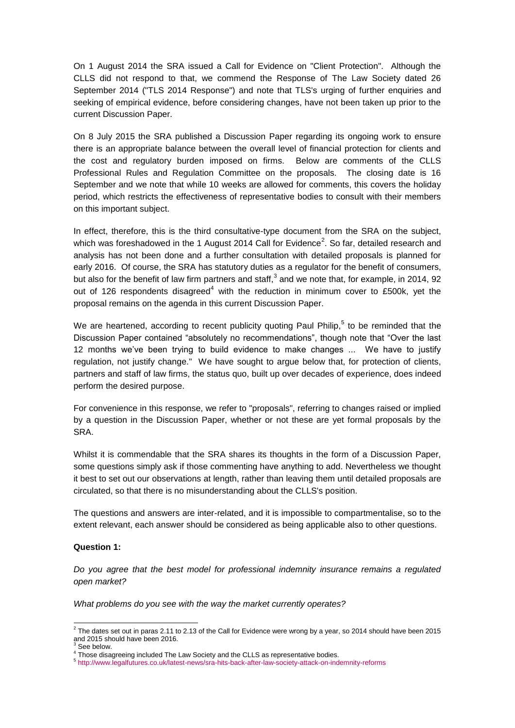On 1 August 2014 the SRA issued a Call for Evidence on "Client Protection". Although the CLLS did not respond to that, we commend the Response of The Law Society dated 26 September 2014 ("TLS 2014 Response") and note that TLS's urging of further enquiries and seeking of empirical evidence, before considering changes, have not been taken up prior to the current Discussion Paper.

On 8 July 2015 the SRA published a Discussion Paper regarding its ongoing work to ensure there is an appropriate balance between the overall level of financial protection for clients and the cost and regulatory burden imposed on firms. Below are comments of the CLLS Professional Rules and Regulation Committee on the proposals. The closing date is 16 September and we note that while 10 weeks are allowed for comments, this covers the holiday period, which restricts the effectiveness of representative bodies to consult with their members on this important subject.

In effect, therefore, this is the third consultative-type document from the SRA on the subject, which was foreshadowed in the 1 August 2014 Call for Evidence<sup>2</sup>. So far, detailed research and analysis has not been done and a further consultation with detailed proposals is planned for early 2016. Of course, the SRA has statutory duties as a regulator for the benefit of consumers, but also for the benefit of law firm partners and staff,<sup>3</sup> and we note that, for example, in 2014, 92 out of 126 respondents disagreed<sup>4</sup> with the reduction in minimum cover to £500k, yet the proposal remains on the agenda in this current Discussion Paper.

We are heartened, according to recent publicity quoting Paul Philip,<sup>5</sup> to be reminded that the Discussion Paper contained "absolutely no recommendations", though note that "Over the last 12 months we've been trying to build evidence to make changes ... We have to justify regulation, not justify change." We have sought to argue below that, for protection of clients, partners and staff of law firms, the status quo, built up over decades of experience, does indeed perform the desired purpose.

For convenience in this response, we refer to "proposals", referring to changes raised or implied by a question in the Discussion Paper, whether or not these are yet formal proposals by the SRA.

Whilst it is commendable that the SRA shares its thoughts in the form of a Discussion Paper, some questions simply ask if those commenting have anything to add. Nevertheless we thought it best to set out our observations at length, rather than leaving them until detailed proposals are circulated, so that there is no misunderstanding about the CLLS's position.

The questions and answers are inter-related, and it is impossible to compartmentalise, so to the extent relevant, each answer should be considered as being applicable also to other questions.

## **Question 1:**

*Do you agree that the best model for professional indemnity insurance remains a regulated open market?*

*What problems do you see with the way the market currently operates?*

 2 The dates set out in paras 2.11 to 2.13 of the Call for Evidence were wrong by a year, so 2014 should have been 2015 and 2015 should have been 2016.

See below.

<sup>4</sup> Those disagreeing included The Law Society and the CLLS as representative bodies.

<sup>5</sup> <http://www.legalfutures.co.uk/latest-news/sra-hits-back-after-law-society-attack-on-indemnity-reforms>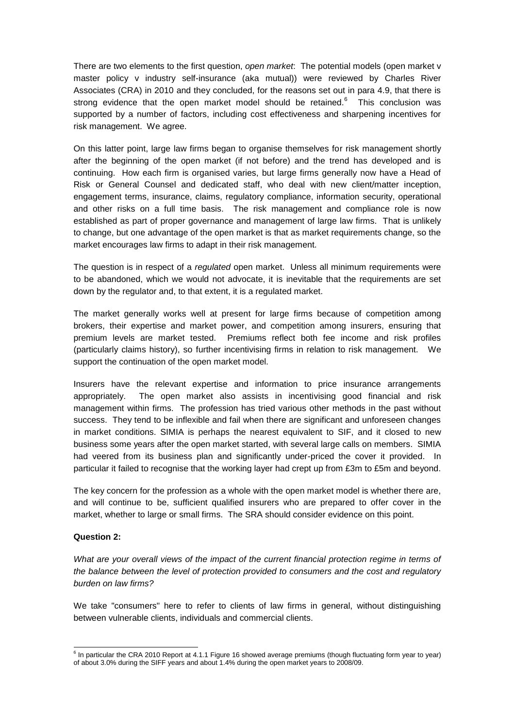There are two elements to the first question, *open market*: The potential models (open market v master policy v industry self-insurance (aka mutual)) were reviewed by Charles River Associates (CRA) in 2010 and they concluded, for the reasons set out in para 4.9, that there is strong evidence that the open market model should be retained.<sup>6</sup> This conclusion was supported by a number of factors, including cost effectiveness and sharpening incentives for risk management. We agree.

On this latter point, large law firms began to organise themselves for risk management shortly after the beginning of the open market (if not before) and the trend has developed and is continuing. How each firm is organised varies, but large firms generally now have a Head of Risk or General Counsel and dedicated staff, who deal with new client/matter inception, engagement terms, insurance, claims, regulatory compliance, information security, operational and other risks on a full time basis. The risk management and compliance role is now established as part of proper governance and management of large law firms. That is unlikely to change, but one advantage of the open market is that as market requirements change, so the market encourages law firms to adapt in their risk management.

The question is in respect of a *regulated* open market. Unless all minimum requirements were to be abandoned, which we would not advocate, it is inevitable that the requirements are set down by the regulator and, to that extent, it is a regulated market.

The market generally works well at present for large firms because of competition among brokers, their expertise and market power, and competition among insurers, ensuring that premium levels are market tested. Premiums reflect both fee income and risk profiles (particularly claims history), so further incentivising firms in relation to risk management. We support the continuation of the open market model.

Insurers have the relevant expertise and information to price insurance arrangements appropriately. The open market also assists in incentivising good financial and risk management within firms. The profession has tried various other methods in the past without success. They tend to be inflexible and fail when there are significant and unforeseen changes in market conditions. SIMIA is perhaps the nearest equivalent to SIF, and it closed to new business some years after the open market started, with several large calls on members. SIMIA had veered from its business plan and significantly under-priced the cover it provided. In particular it failed to recognise that the working layer had crept up from £3m to £5m and beyond.

The key concern for the profession as a whole with the open market model is whether there are, and will continue to be, sufficient qualified insurers who are prepared to offer cover in the market, whether to large or small firms. The SRA should consider evidence on this point.

## **Question 2:**

*What are your overall views of the impact of the current financial protection regime in terms of the balance between the level of protection provided to consumers and the cost and regulatory burden on law firms?*

We take "consumers" here to refer to clients of law firms in general, without distinguishing between vulnerable clients, individuals and commercial clients.

 6 In particular the CRA 2010 Report at 4.1.1 Figure 16 showed average premiums (though fluctuating form year to year) of about 3.0% during the SIFF years and about 1.4% during the open market years to 2008/09.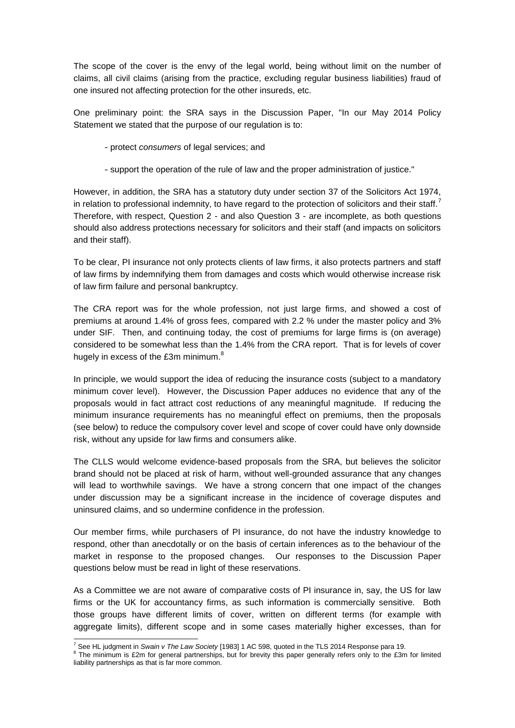The scope of the cover is the envy of the legal world, being without limit on the number of claims, all civil claims (arising from the practice, excluding regular business liabilities) fraud of one insured not affecting protection for the other insureds, etc.

One preliminary point: the SRA says in the Discussion Paper, "In our May 2014 Policy Statement we stated that the purpose of our regulation is to:

- protect *consumers* of legal services; and
- support the operation of the rule of law and the proper administration of justice."

However, in addition, the SRA has a statutory duty under section 37 of the Solicitors Act 1974, in relation to professional indemnity, to have regard to the protection of solicitors and their staff.<sup>7</sup> Therefore, with respect, Question 2 - and also Question 3 - are incomplete, as both questions should also address protections necessary for solicitors and their staff (and impacts on solicitors and their staff).

To be clear, PI insurance not only protects clients of law firms, it also protects partners and staff of law firms by indemnifying them from damages and costs which would otherwise increase risk of law firm failure and personal bankruptcy.

The CRA report was for the whole profession, not just large firms, and showed a cost of premiums at around 1.4% of gross fees, compared with 2.2 % under the master policy and 3% under SIF. Then, and continuing today, the cost of premiums for large firms is (on average) considered to be somewhat less than the 1.4% from the CRA report. That is for levels of cover hugely in excess of the £3m minimum.<sup>8</sup>

In principle, we would support the idea of reducing the insurance costs (subject to a mandatory minimum cover level). However, the Discussion Paper adduces no evidence that any of the proposals would in fact attract cost reductions of any meaningful magnitude. If reducing the minimum insurance requirements has no meaningful effect on premiums, then the proposals (see below) to reduce the compulsory cover level and scope of cover could have only downside risk, without any upside for law firms and consumers alike.

The CLLS would welcome evidence-based proposals from the SRA, but believes the solicitor brand should not be placed at risk of harm, without well-grounded assurance that any changes will lead to worthwhile savings. We have a strong concern that one impact of the changes under discussion may be a significant increase in the incidence of coverage disputes and uninsured claims, and so undermine confidence in the profession.

Our member firms, while purchasers of PI insurance, do not have the industry knowledge to respond, other than anecdotally or on the basis of certain inferences as to the behaviour of the market in response to the proposed changes. Our responses to the Discussion Paper questions below must be read in light of these reservations.

As a Committee we are not aware of comparative costs of PI insurance in, say, the US for law firms or the UK for accountancy firms, as such information is commercially sensitive. Both those groups have different limits of cover, written on different terms (for example with aggregate limits), different scope and in some cases materially higher excesses, than for

<sup>-</sup><sup>7</sup> See HL judgment in *Swain v The Law Society* [1983] 1 AC 598, quoted in the TLS 2014 Response para 19.

 $8$  The minimum is £2m for general partnerships, but for brevity this paper generally refers only to the £3m for limited liability partnerships as that is far more common.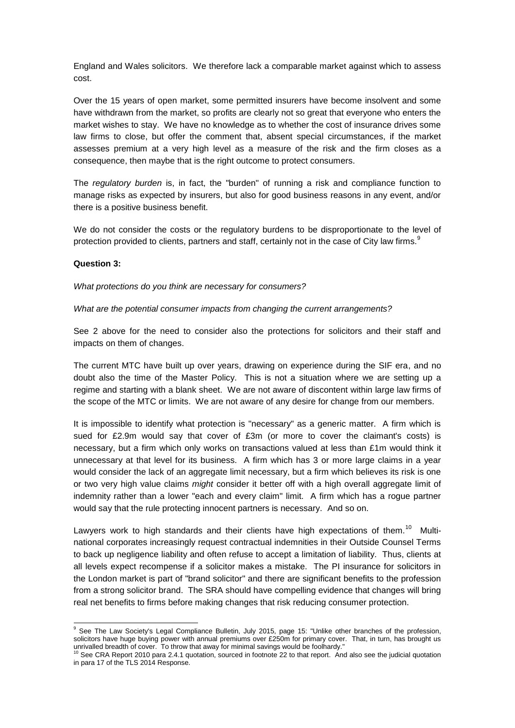England and Wales solicitors. We therefore lack a comparable market against which to assess cost.

Over the 15 years of open market, some permitted insurers have become insolvent and some have withdrawn from the market, so profits are clearly not so great that everyone who enters the market wishes to stay. We have no knowledge as to whether the cost of insurance drives some law firms to close, but offer the comment that, absent special circumstances, if the market assesses premium at a very high level as a measure of the risk and the firm closes as a consequence, then maybe that is the right outcome to protect consumers.

The *regulatory burden* is, in fact, the "burden" of running a risk and compliance function to manage risks as expected by insurers, but also for good business reasons in any event, and/or there is a positive business benefit.

We do not consider the costs or the regulatory burdens to be disproportionate to the level of protection provided to clients, partners and staff, certainly not in the case of City law firms.<sup>9</sup>

## **Question 3:**

-

*What protections do you think are necessary for consumers?*

## *What are the potential consumer impacts from changing the current arrangements?*

See 2 above for the need to consider also the protections for solicitors and their staff and impacts on them of changes.

The current MTC have built up over years, drawing on experience during the SIF era, and no doubt also the time of the Master Policy. This is not a situation where we are setting up a regime and starting with a blank sheet. We are not aware of discontent within large law firms of the scope of the MTC or limits. We are not aware of any desire for change from our members.

It is impossible to identify what protection is "necessary" as a generic matter. A firm which is sued for £2.9m would say that cover of £3m (or more to cover the claimant's costs) is necessary, but a firm which only works on transactions valued at less than £1m would think it unnecessary at that level for its business. A firm which has 3 or more large claims in a year would consider the lack of an aggregate limit necessary, but a firm which believes its risk is one or two very high value claims *might* consider it better off with a high overall aggregate limit of indemnity rather than a lower "each and every claim" limit. A firm which has a rogue partner would say that the rule protecting innocent partners is necessary. And so on.

Lawyers work to high standards and their clients have high expectations of them.<sup>10</sup> Multinational corporates increasingly request contractual indemnities in their Outside Counsel Terms to back up negligence liability and often refuse to accept a limitation of liability. Thus, clients at all levels expect recompense if a solicitor makes a mistake. The PI insurance for solicitors in the London market is part of "brand solicitor" and there are significant benefits to the profession from a strong solicitor brand. The SRA should have compelling evidence that changes will bring real net benefits to firms before making changes that risk reducing consumer protection.

<sup>&</sup>lt;sup>9</sup> See The Law Society's Legal Compliance Bulletin, July 2015, page 15: "Unlike other branches of the profession, solicitors have huge buying power with annual premiums over £250m for primary cover. That, in turn, has brought us

unrivalled breadth of cover. To throw that away for minimal savings would be foolhardy."<br><sup>10</sup> See CRA Report 2010 para 2.4.1 quotation, sourced in footnote 22 to that report. And also see the judicial quotation in para 17 of the TLS 2014 Response.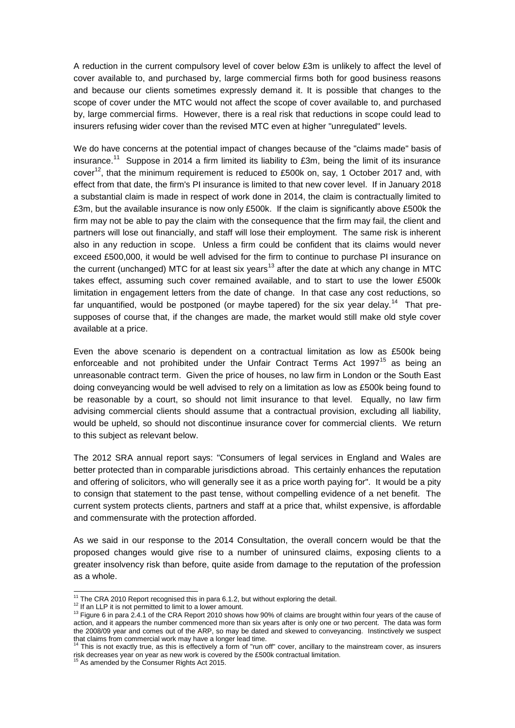A reduction in the current compulsory level of cover below £3m is unlikely to affect the level of cover available to, and purchased by, large commercial firms both for good business reasons and because our clients sometimes expressly demand it. It is possible that changes to the scope of cover under the MTC would not affect the scope of cover available to, and purchased by, large commercial firms. However, there is a real risk that reductions in scope could lead to insurers refusing wider cover than the revised MTC even at higher "unregulated" levels.

We do have concerns at the potential impact of changes because of the "claims made" basis of insurance.<sup>11</sup> Suppose in 2014 a firm limited its liability to £3m, being the limit of its insurance cover<sup>12</sup>, that the minimum requirement is reduced to £500k on, say, 1 October 2017 and, with effect from that date, the firm's PI insurance is limited to that new cover level. If in January 2018 a substantial claim is made in respect of work done in 2014, the claim is contractually limited to £3m, but the available insurance is now only £500k. If the claim is significantly above £500k the firm may not be able to pay the claim with the consequence that the firm may fail, the client and partners will lose out financially, and staff will lose their employment. The same risk is inherent also in any reduction in scope. Unless a firm could be confident that its claims would never exceed £500,000, it would be well advised for the firm to continue to purchase PI insurance on the current (unchanged) MTC for at least six years<sup>13</sup> after the date at which any change in MTC takes effect, assuming such cover remained available, and to start to use the lower £500k limitation in engagement letters from the date of change. In that case any cost reductions, so far unquantified, would be postponed (or maybe tapered) for the six year delay.<sup>14</sup> That presupposes of course that, if the changes are made, the market would still make old style cover available at a price.

Even the above scenario is dependent on a contractual limitation as low as £500k being enforceable and not prohibited under the Unfair Contract Terms Act  $1997^{15}$  as being an unreasonable contract term. Given the price of houses, no law firm in London or the South East doing conveyancing would be well advised to rely on a limitation as low as £500k being found to be reasonable by a court, so should not limit insurance to that level. Equally, no law firm advising commercial clients should assume that a contractual provision, excluding all liability, would be upheld, so should not discontinue insurance cover for commercial clients. We return to this subject as relevant below.

The 2012 SRA annual report says: "Consumers of legal services in England and Wales are better protected than in comparable jurisdictions abroad. This certainly enhances the reputation and offering of solicitors, who will generally see it as a price worth paying for". It would be a pity to consign that statement to the past tense, without compelling evidence of a net benefit. The current system protects clients, partners and staff at a price that, whilst expensive, is affordable and commensurate with the protection afforded.

As we said in our response to the 2014 Consultation, the overall concern would be that the proposed changes would give rise to a number of uninsured claims, exposing clients to a greater insolvency risk than before, quite aside from damage to the reputation of the profession as a whole.

<sup>-</sup> $11$  The CRA 2010 Report recognised this in para 6.1.2, but without exploring the detail.

<sup>&</sup>lt;sup>12</sup> If an LLP it is not permitted to limit to a lower amount.

<sup>&</sup>lt;sup>13</sup> Figure 6 in para 2.4.1 of the CRA Report 2010 shows how 90% of claims are brought within four years of the cause of action, and it appears the number commenced more than six years after is only one or two percent. The data was form the 2008/09 year and comes out of the ARP, so may be dated and skewed to conveyancing. Instinctively we suspect that claims from commercial work may have a longer lead time.

 $14$  This is not exactly true, as this is effectively a form of "run off" cover, ancillary to the mainstream cover, as insurers risk decreases year on year as new work is covered by the £500k contractual limitation. <sup>15</sup> As amended by the Consumer Rights Act 2015.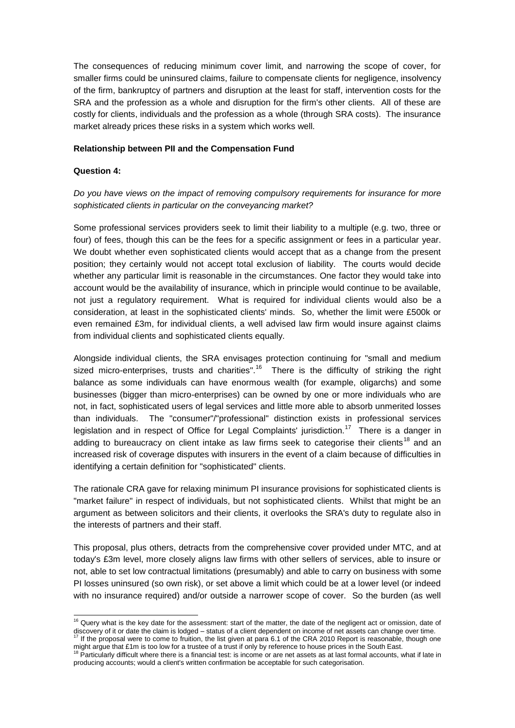The consequences of reducing minimum cover limit, and narrowing the scope of cover, for smaller firms could be uninsured claims, failure to compensate clients for negligence, insolvency of the firm, bankruptcy of partners and disruption at the least for staff, intervention costs for the SRA and the profession as a whole and disruption for the firm's other clients. All of these are costly for clients, individuals and the profession as a whole (through SRA costs). The insurance market already prices these risks in a system which works well.

## **Relationship between PII and the Compensation Fund**

### **Question 4:**

1

# *Do you have views on the impact of removing compulsory requirements for insurance for more sophisticated clients in particular on the conveyancing market?*

Some professional services providers seek to limit their liability to a multiple (e.g. two, three or four) of fees, though this can be the fees for a specific assignment or fees in a particular year. We doubt whether even sophisticated clients would accept that as a change from the present position; they certainly would not accept total exclusion of liability. The courts would decide whether any particular limit is reasonable in the circumstances. One factor they would take into account would be the availability of insurance, which in principle would continue to be available, not just a regulatory requirement. What is required for individual clients would also be a consideration, at least in the sophisticated clients' minds. So, whether the limit were £500k or even remained £3m, for individual clients, a well advised law firm would insure against claims from individual clients and sophisticated clients equally.

Alongside individual clients, the SRA envisages protection continuing for "small and medium sized micro-enterprises, trusts and charities".<sup>16</sup> There is the difficulty of striking the right balance as some individuals can have enormous wealth (for example, oligarchs) and some businesses (bigger than micro-enterprises) can be owned by one or more individuals who are not, in fact, sophisticated users of legal services and little more able to absorb unmerited losses than individuals. The "consumer"/"professional" distinction exists in professional services legislation and in respect of Office for Legal Complaints' jurisdiction.<sup>17</sup> There is a danger in adding to bureaucracy on client intake as law firms seek to categorise their clients<sup>18</sup> and an increased risk of coverage disputes with insurers in the event of a claim because of difficulties in identifying a certain definition for "sophisticated" clients.

The rationale CRA gave for relaxing minimum PI insurance provisions for sophisticated clients is "market failure" in respect of individuals, but not sophisticated clients. Whilst that might be an argument as between solicitors and their clients, it overlooks the SRA's duty to regulate also in the interests of partners and their staff.

This proposal, plus others, detracts from the comprehensive cover provided under MTC, and at today's £3m level, more closely aligns law firms with other sellers of services, able to insure or not, able to set low contractual limitations (presumably) and able to carry on business with some PI losses uninsured (so own risk), or set above a limit which could be at a lower level (or indeed with no insurance required) and/or outside a narrower scope of cover. So the burden (as well

<sup>&</sup>lt;sup>16</sup> Query what is the key date for the assessment: start of the matter, the date of the negligent act or omission, date of discovery of it or date the claim is lodged – status of a client dependent on income of net assets can change over time.<br><sup>17</sup> If the proposal were to come to fruition, the list given at para 6.1 of the CRA 2010 Report is r

might argue that £1m is too low for a trustee of a trust if only by reference to house prices in the South East.<br><sup>18</sup> Particularly difficult where there is a financial test: is income or are net assets as at last formal a

producing accounts; would a client's written confirmation be acceptable for such categorisation.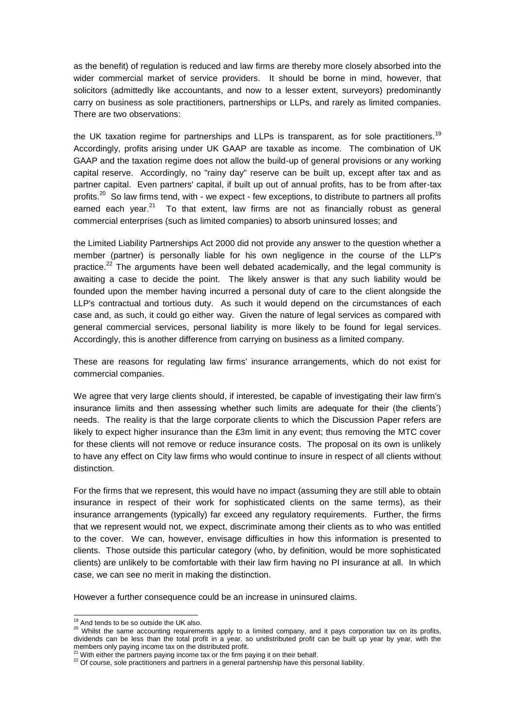as the benefit) of regulation is reduced and law firms are thereby more closely absorbed into the wider commercial market of service providers. It should be borne in mind, however, that solicitors (admittedly like accountants, and now to a lesser extent, surveyors) predominantly carry on business as sole practitioners, partnerships or LLPs, and rarely as limited companies. There are two observations:

the UK taxation regime for partnerships and LLPs is transparent, as for sole practitioners.<sup>19</sup> Accordingly, profits arising under UK GAAP are taxable as income. The combination of UK GAAP and the taxation regime does not allow the build-up of general provisions or any working capital reserve. Accordingly, no "rainy day" reserve can be built up, except after tax and as partner capital. Even partners' capital, if built up out of annual profits, has to be from after-tax profits.<sup>20</sup> So law firms tend, with - we expect - few exceptions, to distribute to partners all profits earned each year.<sup>21</sup> To that extent, law firms are not as financially robust as general commercial enterprises (such as limited companies) to absorb uninsured losses; and

the Limited Liability Partnerships Act 2000 did not provide any answer to the question whether a member (partner) is personally liable for his own negligence in the course of the LLP's practice.<sup>22</sup> The arguments have been well debated academically, and the legal community is awaiting a case to decide the point. The likely answer is that any such liability would be founded upon the member having incurred a personal duty of care to the client alongside the LLP's contractual and tortious duty. As such it would depend on the circumstances of each case and, as such, it could go either way. Given the nature of legal services as compared with general commercial services, personal liability is more likely to be found for legal services. Accordingly, this is another difference from carrying on business as a limited company.

These are reasons for regulating law firms' insurance arrangements, which do not exist for commercial companies.

We agree that very large clients should, if interested, be capable of investigating their law firm's insurance limits and then assessing whether such limits are adequate for their (the clients') needs. The reality is that the large corporate clients to which the Discussion Paper refers are likely to expect higher insurance than the £3m limit in any event; thus removing the MTC cover for these clients will not remove or reduce insurance costs. The proposal on its own is unlikely to have any effect on City law firms who would continue to insure in respect of all clients without distinction.

For the firms that we represent, this would have no impact (assuming they are still able to obtain insurance in respect of their work for sophisticated clients on the same terms), as their insurance arrangements (typically) far exceed any regulatory requirements. Further, the firms that we represent would not, we expect, discriminate among their clients as to who was entitled to the cover. We can, however, envisage difficulties in how this information is presented to clients. Those outside this particular category (who, by definition, would be more sophisticated clients) are unlikely to be comfortable with their law firm having no PI insurance at all. In which case, we can see no merit in making the distinction.

However a further consequence could be an increase in uninsured claims.

1

<sup>&</sup>lt;sup>19</sup> And tends to be so outside the UK also.

<sup>&</sup>lt;sup>20</sup> Whilst the same accounting requirements apply to a limited company, and it pays corporation tax on its profits, dividends can be less than the total profit in a year, so undistributed profit can be built up year by year, with the members only paying income tax on the distributed profit.

<sup>21</sup> With either the partners paying income tax or the firm paying it on their behalf.

<sup>&</sup>lt;sup>22</sup> Of course, sole practitioners and partners in a general partnership have this personal liability.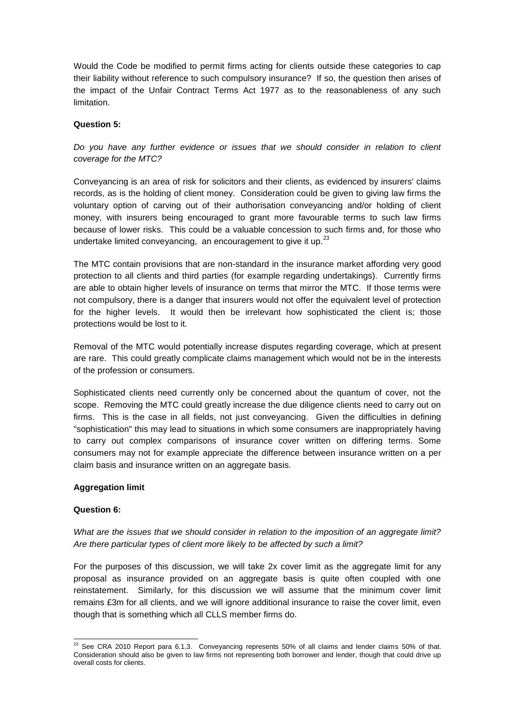Would the Code be modified to permit firms acting for clients outside these categories to cap their liability without reference to such compulsory insurance? If so, the question then arises of the impact of the Unfair Contract Terms Act 1977 as to the reasonableness of any such limitation.

## **Question 5:**

*Do you have any further evidence or issues that we should consider in relation to client coverage for the MTC?*

Conveyancing is an area of risk for solicitors and their clients, as evidenced by insurers' claims records, as is the holding of client money. Consideration could be given to giving law firms the voluntary option of carving out of their authorisation conveyancing and/or holding of client money, with insurers being encouraged to grant more favourable terms to such law firms because of lower risks. This could be a valuable concession to such firms and, for those who undertake limited conveyancing, an encouragement to give it up. $^{23}$ 

The MTC contain provisions that are non-standard in the insurance market affording very good protection to all clients and third parties (for example regarding undertakings). Currently firms are able to obtain higher levels of insurance on terms that mirror the MTC. If those terms were not compulsory, there is a danger that insurers would not offer the equivalent level of protection for the higher levels. It would then be irrelevant how sophisticated the client is; those protections would be lost to it.

Removal of the MTC would potentially increase disputes regarding coverage, which at present are rare. This could greatly complicate claims management which would not be in the interests of the profession or consumers.

Sophisticated clients need currently only be concerned about the quantum of cover, not the scope. Removing the MTC could greatly increase the due diligence clients need to carry out on firms. This is the case in all fields, not just conveyancing. Given the difficulties in defining "sophistication" this may lead to situations in which some consumers are inappropriately having to carry out complex comparisons of insurance cover written on differing terms. Some consumers may not for example appreciate the difference between insurance written on a per claim basis and insurance written on an aggregate basis.

## **Aggregation limit**

#### **Question 6:**

*What are the issues that we should consider in relation to the imposition of an aggregate limit? Are there particular types of client more likely to be affected by such a limit?*

For the purposes of this discussion, we will take 2x cover limit as the aggregate limit for any proposal as insurance provided on an aggregate basis is quite often coupled with one reinstatement. Similarly, for this discussion we will assume that the minimum cover limit remains £3m for all clients, and we will ignore additional insurance to raise the cover limit, even though that is something which all CLLS member firms do.

<sup>-</sup> $^{23}$  See CRA 2010 Report para 6.1.3. Conveyancing represents 50% of all claims and lender claims 50% of that. Consideration should also be given to law firms not representing both borrower and lender, though that could drive up overall costs for clients.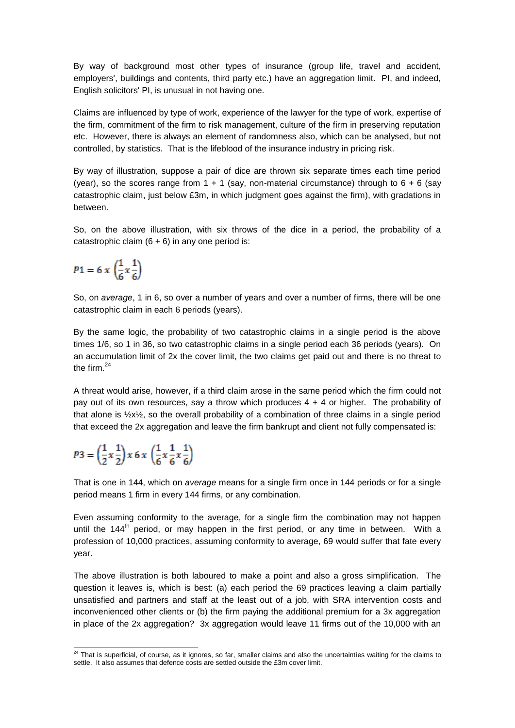By way of background most other types of insurance (group life, travel and accident, employers', buildings and contents, third party etc.) have an aggregation limit. PI, and indeed, English solicitors' PI, is unusual in not having one.

Claims are influenced by type of work, experience of the lawyer for the type of work, expertise of the firm, commitment of the firm to risk management, culture of the firm in preserving reputation etc. However, there is always an element of randomness also, which can be analysed, but not controlled, by statistics. That is the lifeblood of the insurance industry in pricing risk.

By way of illustration, suppose a pair of dice are thrown six separate times each time period (year), so the scores range from  $1 + 1$  (say, non-material circumstance) through to  $6 + 6$  (say catastrophic claim, just below £3m, in which judgment goes against the firm), with gradations in between.

So, on the above illustration, with six throws of the dice in a period, the probability of a catastrophic claim  $(6 + 6)$  in any one period is:

$$
P1 = 6 \times \left(\frac{1}{6} \times \frac{1}{6}\right)
$$

So, on *average*, 1 in 6, so over a number of years and over a number of firms, there will be one catastrophic claim in each 6 periods (years).

By the same logic, the probability of two catastrophic claims in a single period is the above times 1/6, so 1 in 36, so two catastrophic claims in a single period each 36 periods (years). On an accumulation limit of 2x the cover limit, the two claims get paid out and there is no threat to the firm. $^{24}$ 

A threat would arise, however, if a third claim arose in the same period which the firm could not pay out of its own resources, say a throw which produces  $4 + 4$  or higher. The probability of that alone is  $\frac{1}{2}x\frac{1}{2}$ , so the overall probability of a combination of three claims in a single period that exceed the 2x aggregation and leave the firm bankrupt and client not fully compensated is:

$$
P3=\left(\frac{1}{2}x\frac{1}{2}\right)x\,6\,x\,\left(\frac{1}{6}x\frac{1}{6}x\frac{1}{6}\right)
$$

That is one in 144, which on *average* means for a single firm once in 144 periods or for a single period means 1 firm in every 144 firms, or any combination.

Even assuming conformity to the average, for a single firm the combination may not happen until the 144<sup>th</sup> period, or may happen in the first period, or any time in between. With a profession of 10,000 practices, assuming conformity to average, 69 would suffer that fate every year.

The above illustration is both laboured to make a point and also a gross simplification. The question it leaves is, which is best: (a) each period the 69 practices leaving a claim partially unsatisfied and partners and staff at the least out of a job, with SRA intervention costs and inconvenienced other clients or (b) the firm paying the additional premium for a 3x aggregation in place of the 2x aggregation? 3x aggregation would leave 11 firms out of the 10,000 with an

<sup>1</sup>  $24$  That is superficial, of course, as it ignores, so far, smaller claims and also the uncertainties waiting for the claims to settle. It also assumes that defence costs are settled outside the £3m cover limit.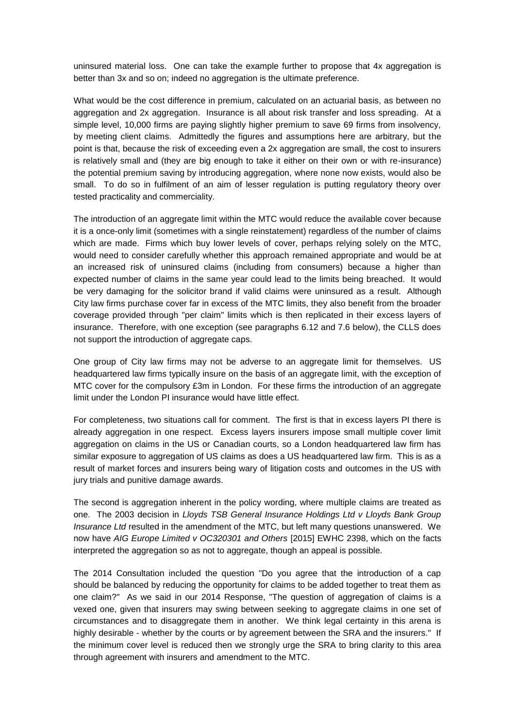uninsured material loss. One can take the example further to propose that 4x aggregation is better than 3x and so on; indeed no aggregation is the ultimate preference.

What would be the cost difference in premium, calculated on an actuarial basis, as between no aggregation and 2x aggregation. Insurance is all about risk transfer and loss spreading. At a simple level, 10,000 firms are paying slightly higher premium to save 69 firms from insolvency, by meeting client claims. Admittedly the figures and assumptions here are arbitrary, but the point is that, because the risk of exceeding even a 2x aggregation are small, the cost to insurers is relatively small and (they are big enough to take it either on their own or with re-insurance) the potential premium saving by introducing aggregation, where none now exists, would also be small. To do so in fulfilment of an aim of lesser regulation is putting regulatory theory over tested practicality and commerciality.

The introduction of an aggregate limit within the MTC would reduce the available cover because it is a once-only limit (sometimes with a single reinstatement) regardless of the number of claims which are made. Firms which buy lower levels of cover, perhaps relying solely on the MTC, would need to consider carefully whether this approach remained appropriate and would be at an increased risk of uninsured claims (including from consumers) because a higher than expected number of claims in the same year could lead to the limits being breached. It would be very damaging for the solicitor brand if valid claims were uninsured as a result. Although City law firms purchase cover far in excess of the MTC limits, they also benefit from the broader coverage provided through "per claim" limits which is then replicated in their excess layers of insurance. Therefore, with one exception (see paragraphs 6.12 and 7.6 below), the CLLS does not support the introduction of aggregate caps.

One group of City law firms may not be adverse to an aggregate limit for themselves. US headquartered law firms typically insure on the basis of an aggregate limit, with the exception of MTC cover for the compulsory £3m in London. For these firms the introduction of an aggregate limit under the London PI insurance would have little effect.

For completeness, two situations call for comment. The first is that in excess layers PI there is already aggregation in one respect. Excess layers insurers impose small multiple cover limit aggregation on claims in the US or Canadian courts, so a London headquartered law firm has similar exposure to aggregation of US claims as does a US headquartered law firm. This is as a result of market forces and insurers being wary of litigation costs and outcomes in the US with jury trials and punitive damage awards.

The second is aggregation inherent in the policy wording, where multiple claims are treated as one. The 2003 decision in *Lloyds TSB General Insurance Holdings Ltd v Lloyds Bank Group Insurance Ltd* resulted in the amendment of the MTC, but left many questions unanswered. We now have *AIG Europe Limited v OC320301 and Others* [2015] EWHC 2398, which on the facts interpreted the aggregation so as not to aggregate, though an appeal is possible.

The 2014 Consultation included the question "Do you agree that the introduction of a cap should be balanced by reducing the opportunity for claims to be added together to treat them as one claim?" As we said in our 2014 Response, "The question of aggregation of claims is a vexed one, given that insurers may swing between seeking to aggregate claims in one set of circumstances and to disaggregate them in another. We think legal certainty in this arena is highly desirable - whether by the courts or by agreement between the SRA and the insurers." If the minimum cover level is reduced then we strongly urge the SRA to bring clarity to this area through agreement with insurers and amendment to the MTC.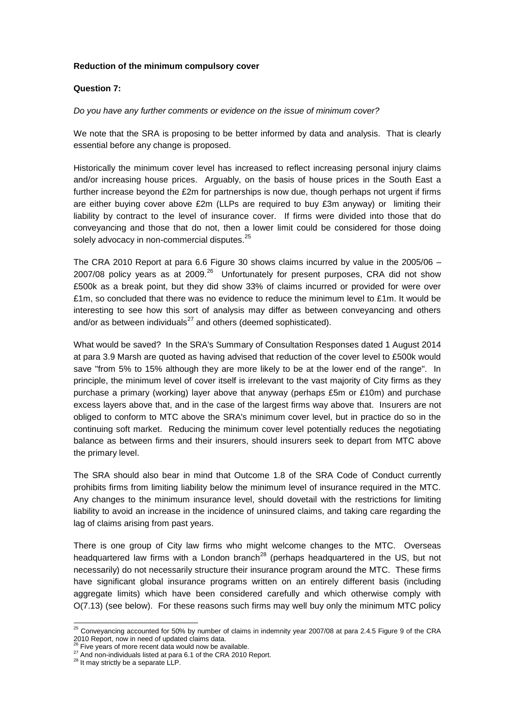## **Reduction of the minimum compulsory cover**

## **Question 7:**

## *Do you have any further comments or evidence on the issue of minimum cover?*

We note that the SRA is proposing to be better informed by data and analysis. That is clearly essential before any change is proposed.

Historically the minimum cover level has increased to reflect increasing personal injury claims and/or increasing house prices. Arguably, on the basis of house prices in the South East a further increase beyond the £2m for partnerships is now due, though perhaps not urgent if firms are either buying cover above £2m (LLPs are required to buy £3m anyway) or limiting their liability by contract to the level of insurance cover. If firms were divided into those that do conveyancing and those that do not, then a lower limit could be considered for those doing solely advocacy in non-commercial disputes.<sup>25</sup>

The CRA 2010 Report at para 6.6 Figure 30 shows claims incurred by value in the 2005/06 – 2007/08 policy years as at 2009. $^{26}$  Unfortunately for present purposes, CRA did not show £500k as a break point, but they did show 33% of claims incurred or provided for were over £1m, so concluded that there was no evidence to reduce the minimum level to £1m. It would be interesting to see how this sort of analysis may differ as between conveyancing and others and/or as between individuals $^{27}$  and others (deemed sophisticated).

What would be saved? In the SRA's Summary of Consultation Responses dated 1 August 2014 at para 3.9 Marsh are quoted as having advised that reduction of the cover level to £500k would save "from 5% to 15% although they are more likely to be at the lower end of the range". In principle, the minimum level of cover itself is irrelevant to the vast majority of City firms as they purchase a primary (working) layer above that anyway (perhaps £5m or £10m) and purchase excess layers above that, and in the case of the largest firms way above that. Insurers are not obliged to conform to MTC above the SRA's minimum cover level, but in practice do so in the continuing soft market. Reducing the minimum cover level potentially reduces the negotiating balance as between firms and their insurers, should insurers seek to depart from MTC above the primary level.

The SRA should also bear in mind that Outcome 1.8 of the SRA Code of Conduct currently prohibits firms from limiting liability below the minimum level of insurance required in the MTC. Any changes to the minimum insurance level, should dovetail with the restrictions for limiting liability to avoid an increase in the incidence of uninsured claims, and taking care regarding the lag of claims arising from past years.

There is one group of City law firms who might welcome changes to the MTC. Overseas headquartered law firms with a London branch<sup>28</sup> (perhaps headquartered in the US, but not necessarily) do not necessarily structure their insurance program around the MTC. These firms have significant global insurance programs written on an entirely different basis (including aggregate limits) which have been considered carefully and which otherwise comply with O(7.13) (see below). For these reasons such firms may well buy only the minimum MTC policy

<sup>-</sup> $^{25}$  Conveyancing accounted for 50% by number of claims in indemnity year 2007/08 at para 2.4.5 Figure 9 of the CRA 2010 Report, now in need of updated claims data.

 $\delta$  Five years of more recent data would now be available.

<sup>&</sup>lt;sup>27</sup> And non-individuals listed at para 6.1 of the CRA 2010 Report.

<sup>&</sup>lt;sup>28</sup> It may strictly be a separate LLP.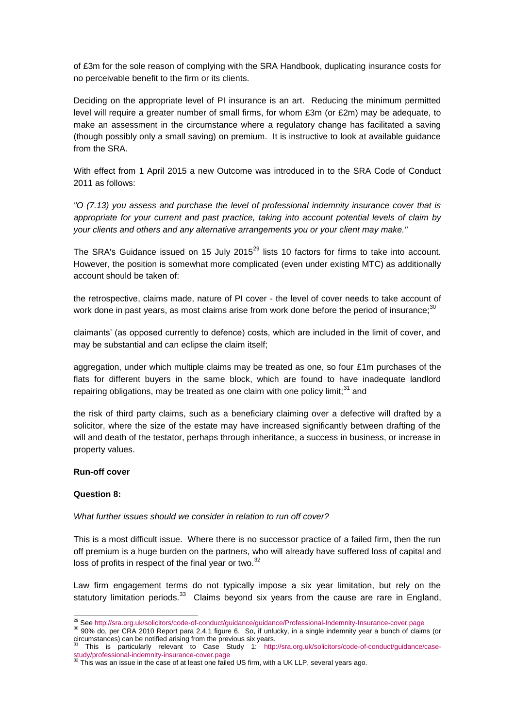of £3m for the sole reason of complying with the SRA Handbook, duplicating insurance costs for no perceivable benefit to the firm or its clients.

Deciding on the appropriate level of PI insurance is an art. Reducing the minimum permitted level will require a greater number of small firms, for whom £3m (or £2m) may be adequate, to make an assessment in the circumstance where a regulatory change has facilitated a saving (though possibly only a small saving) on premium. It is instructive to look at available guidance from the SRA.

With effect from 1 April 2015 a new Outcome was introduced in to the SRA Code of Conduct 2011 as follows:

*"O (7.13) you assess and purchase the level of professional indemnity insurance cover that is appropriate for your current and past practice, taking into account potential levels of claim by your clients and others and any alternative arrangements you or your client may make."*

The SRA's Guidance issued on 15 July 2015<sup>29</sup> lists 10 factors for firms to take into account. However, the position is somewhat more complicated (even under existing MTC) as additionally account should be taken of:

the retrospective, claims made, nature of PI cover - the level of cover needs to take account of work done in past years, as most claims arise from work done before the period of insurance;<sup>30</sup>

claimants' (as opposed currently to defence) costs, which are included in the limit of cover, and may be substantial and can eclipse the claim itself;

aggregation, under which multiple claims may be treated as one, so four £1m purchases of the flats for different buyers in the same block, which are found to have inadequate landlord repairing obligations, may be treated as one claim with one policy limit; $31$  and

the risk of third party claims, such as a beneficiary claiming over a defective will drafted by a solicitor, where the size of the estate may have increased significantly between drafting of the will and death of the testator, perhaps through inheritance, a success in business, or increase in property values.

## **Run-off cover**

## **Question 8:**

#### *What further issues should we consider in relation to run off cover?*

This is a most difficult issue. Where there is no successor practice of a failed firm, then the run off premium is a huge burden on the partners, who will already have suffered loss of capital and loss of profits in respect of the final year or two.<sup>32</sup>

Law firm engagement terms do not typically impose a six year limitation, but rely on the statutory limitation periods.<sup>33</sup> Claims beyond six years from the cause are rare in England,

<sup>1</sup> <sup>29</sup> See http://sra.org.uk/solicitors/code-of-conduct/guidance/guidance/Professional-Indemnity-Insurance-cover.page

<sup>30</sup> 90% do, per CRA 2010 Report para 2.4.1 figure 6. So, if unlucky, in a single indemnity year a bunch of claims (or circumstances) can be notified arising from the previous six years.

<sup>31</sup> This is particularly relevant to Case Study 1: http://sra.org.uk/solicitors/code-of-conduct/guidance/case-

study/professional-indemnity-insurance-cover.page<br><sup>32</sup> This was an issue in the case of at least one failed US firm, with a UK LLP, several years ago.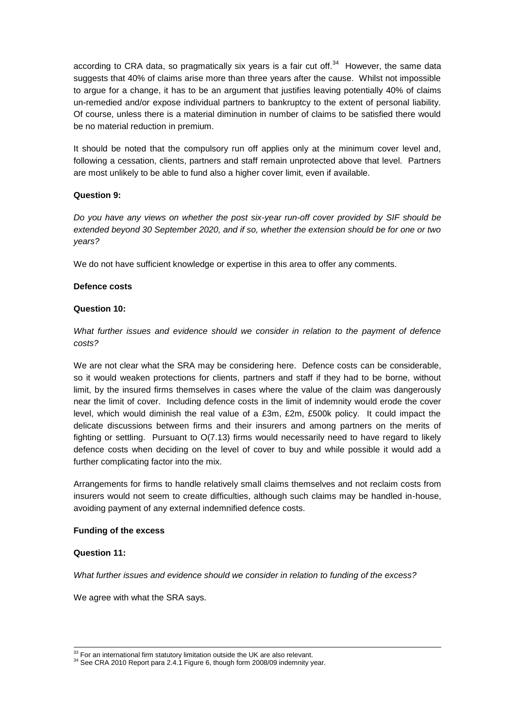according to CRA data, so pragmatically six years is a fair cut off. $34$  However, the same data suggests that 40% of claims arise more than three years after the cause. Whilst not impossible to argue for a change, it has to be an argument that justifies leaving potentially 40% of claims un-remedied and/or expose individual partners to bankruptcy to the extent of personal liability. Of course, unless there is a material diminution in number of claims to be satisfied there would be no material reduction in premium.

It should be noted that the compulsory run off applies only at the minimum cover level and, following a cessation, clients, partners and staff remain unprotected above that level. Partners are most unlikely to be able to fund also a higher cover limit, even if available.

## **Question 9:**

*Do you have any views on whether the post six-year run-off cover provided by SIF should be extended beyond 30 September 2020, and if so, whether the extension should be for one or two years?*

We do not have sufficient knowledge or expertise in this area to offer any comments.

## **Defence costs**

## **Question 10:**

*What further issues and evidence should we consider in relation to the payment of defence costs?*

We are not clear what the SRA may be considering here. Defence costs can be considerable, so it would weaken protections for clients, partners and staff if they had to be borne, without limit, by the insured firms themselves in cases where the value of the claim was dangerously near the limit of cover. Including defence costs in the limit of indemnity would erode the cover level, which would diminish the real value of a £3m, £2m, £500k policy. It could impact the delicate discussions between firms and their insurers and among partners on the merits of fighting or settling. Pursuant to O(7.13) firms would necessarily need to have regard to likely defence costs when deciding on the level of cover to buy and while possible it would add a further complicating factor into the mix.

Arrangements for firms to handle relatively small claims themselves and not reclaim costs from insurers would not seem to create difficulties, although such claims may be handled in-house, avoiding payment of any external indemnified defence costs.

#### **Funding of the excess**

#### **Question 11:**

1

*What further issues and evidence should we consider in relation to funding of the excess?*

We agree with what the SRA says.

 $33$  For an international firm statutory limitation outside the UK are also relevant.

<sup>&</sup>lt;sup>34</sup> See CRA 2010 Report para 2.4.1 Figure 6, though form 2008/09 indemnity year.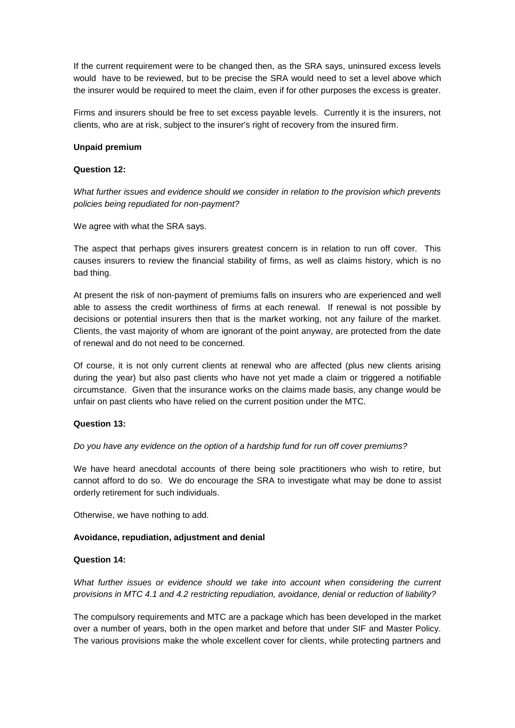If the current requirement were to be changed then, as the SRA says, uninsured excess levels would have to be reviewed, but to be precise the SRA would need to set a level above which the insurer would be required to meet the claim, even if for other purposes the excess is greater.

Firms and insurers should be free to set excess payable levels. Currently it is the insurers, not clients, who are at risk, subject to the insurer's right of recovery from the insured firm.

## **Unpaid premium**

## **Question 12:**

*What further issues and evidence should we consider in relation to the provision which prevents policies being repudiated for non-payment?*

We agree with what the SRA says.

The aspect that perhaps gives insurers greatest concern is in relation to run off cover. This causes insurers to review the financial stability of firms, as well as claims history, which is no bad thing.

At present the risk of non-payment of premiums falls on insurers who are experienced and well able to assess the credit worthiness of firms at each renewal. If renewal is not possible by decisions or potential insurers then that is the market working, not any failure of the market. Clients, the vast majority of whom are ignorant of the point anyway, are protected from the date of renewal and do not need to be concerned.

Of course, it is not only current clients at renewal who are affected (plus new clients arising during the year) but also past clients who have not yet made a claim or triggered a notifiable circumstance. Given that the insurance works on the claims made basis, any change would be unfair on past clients who have relied on the current position under the MTC.

#### **Question 13:**

#### *Do you have any evidence on the option of a hardship fund for run off cover premiums?*

We have heard anecdotal accounts of there being sole practitioners who wish to retire, but cannot afford to do so. We do encourage the SRA to investigate what may be done to assist orderly retirement for such individuals.

Otherwise, we have nothing to add.

#### **Avoidance, repudiation, adjustment and denial**

#### **Question 14:**

*What further issues or evidence should we take into account when considering the current provisions in MTC 4.1 and 4.2 restricting repudiation, avoidance, denial or reduction of liability?*

The compulsory requirements and MTC are a package which has been developed in the market over a number of years, both in the open market and before that under SIF and Master Policy. The various provisions make the whole excellent cover for clients, while protecting partners and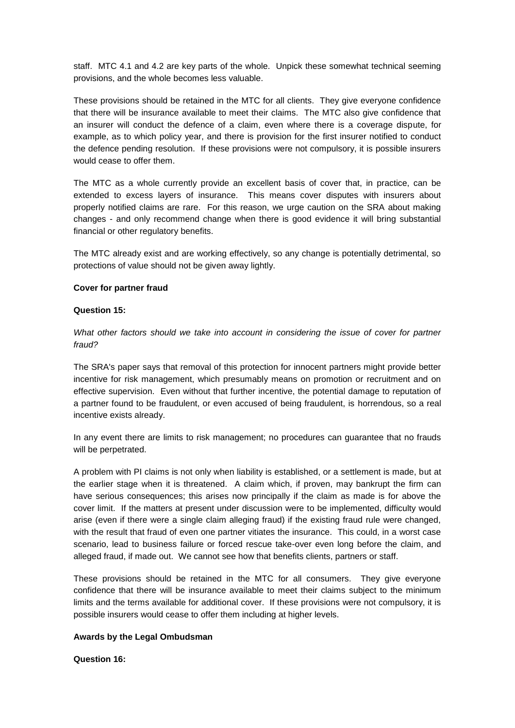staff. MTC 4.1 and 4.2 are key parts of the whole. Unpick these somewhat technical seeming provisions, and the whole becomes less valuable.

These provisions should be retained in the MTC for all clients. They give everyone confidence that there will be insurance available to meet their claims. The MTC also give confidence that an insurer will conduct the defence of a claim, even where there is a coverage dispute, for example, as to which policy year, and there is provision for the first insurer notified to conduct the defence pending resolution. If these provisions were not compulsory, it is possible insurers would cease to offer them.

The MTC as a whole currently provide an excellent basis of cover that, in practice, can be extended to excess layers of insurance. This means cover disputes with insurers about properly notified claims are rare. For this reason, we urge caution on the SRA about making changes - and only recommend change when there is good evidence it will bring substantial financial or other regulatory benefits.

The MTC already exist and are working effectively, so any change is potentially detrimental, so protections of value should not be given away lightly.

## **Cover for partner fraud**

## **Question 15:**

*What other factors should we take into account in considering the issue of cover for partner fraud?*

The SRA's paper says that removal of this protection for innocent partners might provide better incentive for risk management, which presumably means on promotion or recruitment and on effective supervision. Even without that further incentive, the potential damage to reputation of a partner found to be fraudulent, or even accused of being fraudulent, is horrendous, so a real incentive exists already.

In any event there are limits to risk management; no procedures can guarantee that no frauds will be perpetrated.

A problem with PI claims is not only when liability is established, or a settlement is made, but at the earlier stage when it is threatened. A claim which, if proven, may bankrupt the firm can have serious consequences; this arises now principally if the claim as made is for above the cover limit. If the matters at present under discussion were to be implemented, difficulty would arise (even if there were a single claim alleging fraud) if the existing fraud rule were changed, with the result that fraud of even one partner vitiates the insurance. This could, in a worst case scenario, lead to business failure or forced rescue take-over even long before the claim, and alleged fraud, if made out. We cannot see how that benefits clients, partners or staff.

These provisions should be retained in the MTC for all consumers. They give everyone confidence that there will be insurance available to meet their claims subject to the minimum limits and the terms available for additional cover. If these provisions were not compulsory, it is possible insurers would cease to offer them including at higher levels.

#### **Awards by the Legal Ombudsman**

**Question 16:**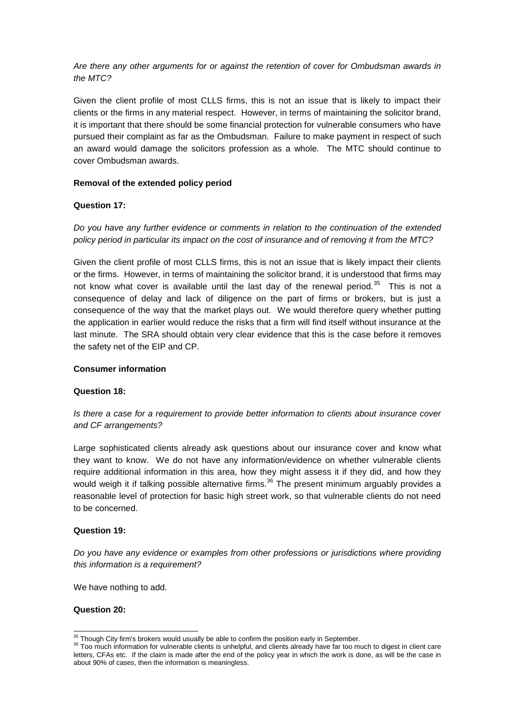*Are there any other arguments for or against the retention of cover for Ombudsman awards in the MTC?*

Given the client profile of most CLLS firms, this is not an issue that is likely to impact their clients or the firms in any material respect. However, in terms of maintaining the solicitor brand, it is important that there should be some financial protection for vulnerable consumers who have pursued their complaint as far as the Ombudsman. Failure to make payment in respect of such an award would damage the solicitors profession as a whole. The MTC should continue to cover Ombudsman awards.

## **Removal of the extended policy period**

## **Question 17:**

*Do you have any further evidence or comments in relation to the continuation of the extended policy period in particular its impact on the cost of insurance and of removing it from the MTC?*

Given the client profile of most CLLS firms, this is not an issue that is likely impact their clients or the firms. However, in terms of maintaining the solicitor brand, it is understood that firms may not know what cover is available until the last day of the renewal period.<sup>35</sup> This is not a consequence of delay and lack of diligence on the part of firms or brokers, but is just a consequence of the way that the market plays out. We would therefore query whether putting the application in earlier would reduce the risks that a firm will find itself without insurance at the last minute. The SRA should obtain very clear evidence that this is the case before it removes the safety net of the EIP and CP.

## **Consumer information**

## **Question 18:**

*Is there a case for a requirement to provide better information to clients about insurance cover and CF arrangements?*

Large sophisticated clients already ask questions about our insurance cover and know what they want to know. We do not have any information/evidence on whether vulnerable clients require additional information in this area, how they might assess it if they did, and how they would weigh it if talking possible alternative firms.<sup>36</sup> The present minimum arguably provides a reasonable level of protection for basic high street work, so that vulnerable clients do not need to be concerned.

#### **Question 19:**

*Do you have any evidence or examples from other professions or jurisdictions where providing this information is a requirement?*

We have nothing to add.

**Question 20:**

<sup>1</sup>  $35$  Though City firm's brokers would usually be able to confirm the position early in September.

<sup>&</sup>lt;sup>36</sup> Too much information for vulnerable clients is unhelpful, and clients already have far too much to digest in client care letters, CFAs etc. If the claim is made after the end of the policy year in which the work is done, as will be the case in about 90% of cases, then the information is meaningless.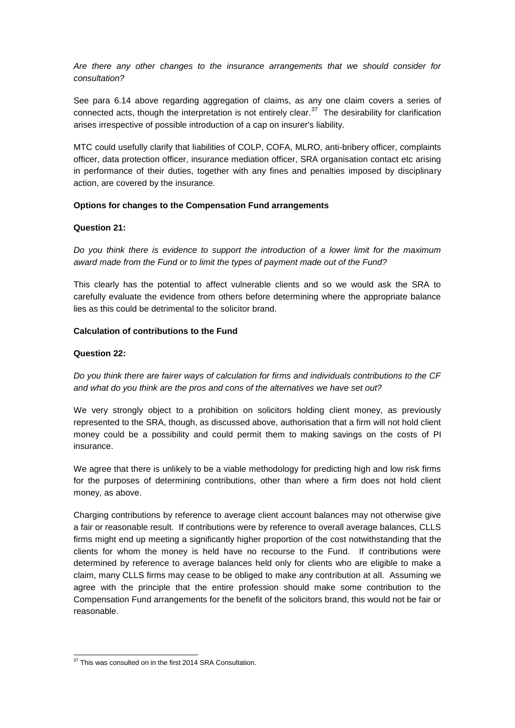*Are there any other changes to the insurance arrangements that we should consider for consultation?*

See para 6.14 above regarding aggregation of claims, as any one claim covers a series of connected acts, though the interpretation is not entirely clear.<sup>37</sup> The desirability for clarification arises irrespective of possible introduction of a cap on insurer's liability.

MTC could usefully clarify that liabilities of COLP, COFA, MLRO, anti-bribery officer, complaints officer, data protection officer, insurance mediation officer, SRA organisation contact etc arising in performance of their duties, together with any fines and penalties imposed by disciplinary action, are covered by the insurance.

## **Options for changes to the Compensation Fund arrangements**

## **Question 21:**

*Do you think there is evidence to support the introduction of a lower limit for the maximum award made from the Fund or to limit the types of payment made out of the Fund?*

This clearly has the potential to affect vulnerable clients and so we would ask the SRA to carefully evaluate the evidence from others before determining where the appropriate balance lies as this could be detrimental to the solicitor brand.

## **Calculation of contributions to the Fund**

#### **Question 22:**

-

*Do you think there are fairer ways of calculation for firms and individuals contributions to the CF and what do you think are the pros and cons of the alternatives we have set out?*

We very strongly object to a prohibition on solicitors holding client money, as previously represented to the SRA, though, as discussed above, authorisation that a firm will not hold client money could be a possibility and could permit them to making savings on the costs of PI insurance.

We agree that there is unlikely to be a viable methodology for predicting high and low risk firms for the purposes of determining contributions, other than where a firm does not hold client money, as above.

Charging contributions by reference to average client account balances may not otherwise give a fair or reasonable result. If contributions were by reference to overall average balances, CLLS firms might end up meeting a significantly higher proportion of the cost notwithstanding that the clients for whom the money is held have no recourse to the Fund. If contributions were determined by reference to average balances held only for clients who are eligible to make a claim, many CLLS firms may cease to be obliged to make any contribution at all. Assuming we agree with the principle that the entire profession should make some contribution to the Compensation Fund arrangements for the benefit of the solicitors brand, this would not be fair or reasonable.

<sup>&</sup>lt;sup>37</sup> This was consulted on in the first 2014 SRA Consultation.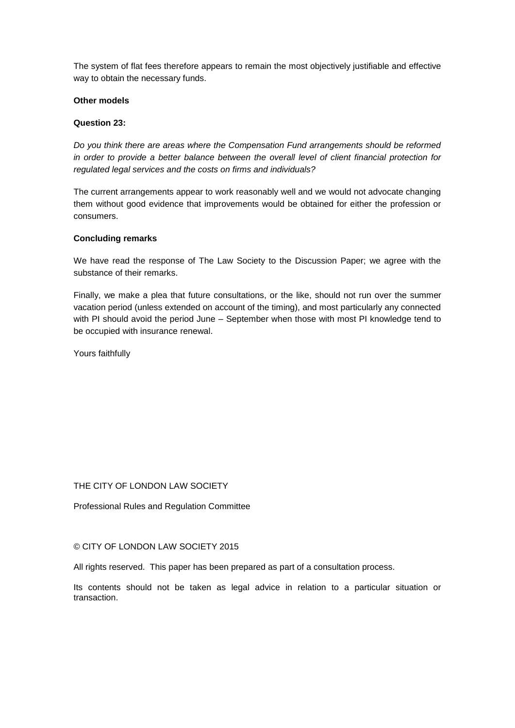The system of flat fees therefore appears to remain the most objectively justifiable and effective way to obtain the necessary funds.

## **Other models**

## **Question 23:**

*Do you think there are areas where the Compensation Fund arrangements should be reformed in order to provide a better balance between the overall level of client financial protection for regulated legal services and the costs on firms and individuals?*

The current arrangements appear to work reasonably well and we would not advocate changing them without good evidence that improvements would be obtained for either the profession or consumers.

## **Concluding remarks**

We have read the response of The Law Society to the Discussion Paper; we agree with the substance of their remarks.

Finally, we make a plea that future consultations, or the like, should not run over the summer vacation period (unless extended on account of the timing), and most particularly any connected with PI should avoid the period June – September when those with most PI knowledge tend to be occupied with insurance renewal.

Yours faithfully

THE CITY OF LONDON LAW SOCIETY

Professional Rules and Regulation Committee

## © CITY OF LONDON LAW SOCIETY 2015

All rights reserved. This paper has been prepared as part of a consultation process.

Its contents should not be taken as legal advice in relation to a particular situation or transaction.